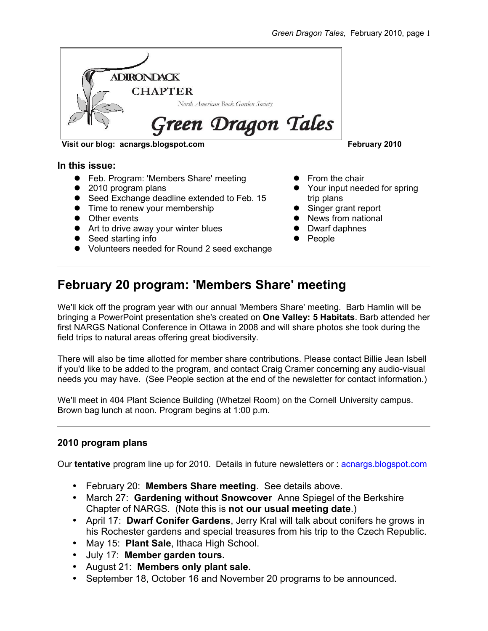

Visit our blog: acnargs.blogspot.com **February 2010** 

#### **In this issue:**

- Feb. Program: 'Members Share' meeting
- 2010 program plans
- Seed Exchange deadline extended to Feb. 15
- Time to renew your membership
- Other events
- Art to drive away your winter blues
- Seed starting info
- Volunteers needed for Round 2 seed exchange
- 
- **•** From the chair
- Your input needed for spring trip plans
- Singer grant report
- News from national
- Dwarf daphnes
- People

# **February 20 program: 'Members Share' meeting**

We'll kick off the program year with our annual 'Members Share' meeting. Barb Hamlin will be bringing a PowerPoint presentation she's created on **One Valley: 5 Habitats**. Barb attended her first NARGS National Conference in Ottawa in 2008 and will share photos she took during the field trips to natural areas offering great biodiversity.

There will also be time allotted for member share contributions. Please contact Billie Jean Isbell if you'd like to be added to the program, and contact Craig Cramer concerning any audio-visual needs you may have. (See People section at the end of the newsletter for contact information.)

We'll meet in 404 Plant Science Building (Whetzel Room) on the Cornell University campus. Brown bag lunch at noon. Program begins at 1:00 p.m.

# **2010 program plans**

Our **tentative** program line up for 2010. Details in future newsletters or : **[acnargs.blogspot.com](http://acnargs.blogspot.com/)** 

- February 20: **Members Share meeting**. See details above.
- March 27: **Gardening without Snowcover** Anne Spiegel of the Berkshire Chapter of NARGS. (Note this is **not our usual meeting date**.)
- April 17: **Dwarf Conifer Gardens**, Jerry Kral will talk about conifers he grows in his Rochester gardens and special treasures from his trip to the Czech Republic.
- May 15: **Plant Sale**, Ithaca High School.
- July 17: **Member garden tours.**
- August 21: **Members only plant sale.**
- September 18, October 16 and November 20 programs to be announced.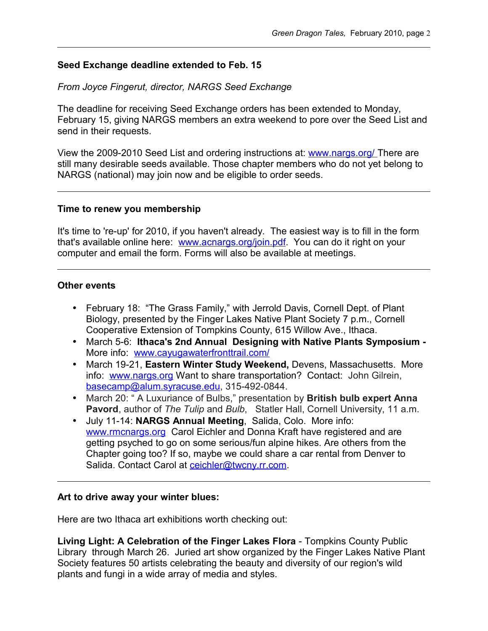# **Seed Exchange deadline extended to Feb. 15**

# *From Joyce Fingerut, director, NARGS Seed Exchange*

The deadline for receiving Seed Exchange orders has been extended to Monday, February 15, giving NARGS members an extra weekend to pore over the Seed List and send in their requests.

View the 2009-2010 Seed List and ordering instructions at: [www.nargs.org/](http://www.nargs.org/) There are still many desirable seeds available. Those chapter members who do not yet belong to NARGS (national) may join now and be eligible to order seeds.

### **Time to renew you membership**

It's time to 're-up' for 2010, if you haven't already. The easiest way is to fill in the form that's available online here: [www.acnargs.org/join.pdf.](http://www.acnargs.org/join.pdf) You can do it right on your computer and email the form. Forms will also be available at meetings.

### **Other events**

- February 18: "The Grass Family," with Jerrold Davis, Cornell Dept. of Plant Biology, presented by the Finger Lakes Native Plant Society 7 p.m., Cornell Cooperative Extension of Tompkins County, 615 Willow Ave., Ithaca.
- March 5-6: **Ithaca's 2nd Annual Designing with Native Plants Symposium -** More info: [www.cayugawaterfronttrail.com/](http://www.cayugawaterfronttrail.com/)
- March 19-21, **Eastern Winter Study Weekend,** Devens, Massachusetts. More info: [www.nargs.org](http://www.nargs.org/) Want to share transportation? Contact: John Gilrein, [basecamp@alum.syracuse.edu,](mailto:basecamp@alum.syracuse.edu) 315-492-0844.
- March 20: " A Luxuriance of Bulbs," presentation by **British bulb expert Anna Pavord**, author of *The Tulip* and *Bulb*, Statler Hall, Cornell University, 11 a.m.
- July 11-14: **NARGS Annual Meeting**, Salida, Colo. More info: [www.rmcnargs.org](http://www.rmcnargs.org/) Carol Eichler and Donna Kraft have registered and are getting psyched to go on some serious/fun alpine hikes. Are others from the Chapter going too? If so, maybe we could share a car rental from Denver to Salida. Contact Carol at [ceichler@twcny.rr.com.](mailto:ceichler@twcny.rr.com)

#### **Art to drive away your winter blues:**

Here are two Ithaca art exhibitions worth checking out:

**Living Light: A Celebration of the Finger Lakes Flora** - Tompkins County Public Library through March 26. Juried art show organized by the Finger Lakes Native Plant Society features 50 artists celebrating the beauty and diversity of our region's wild plants and fungi in a wide array of media and styles.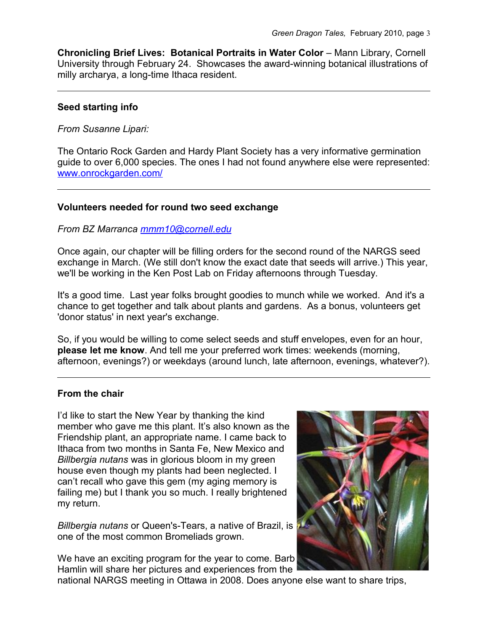**Chronicling Brief Lives: Botanical Portraits in Water Color** – Mann Library, Cornell University through February 24. Showcases the award-winning botanical illustrations of milly archarya, a long-time Ithaca resident.

# **Seed starting info**

*From Susanne Lipari:*

The Ontario Rock Garden and Hardy Plant Society has a very informative germination guide to over 6,000 species. The ones I had not found anywhere else were represented: [www.onrockgarden.com/](http://www.onrockgarden.com/)

# **Volunteers needed for round two seed exchange**

### *From BZ Marranca [mmm10@cornell.edu](mailto:mmm10@cornell.edu)*

Once again, our chapter will be filling orders for the second round of the NARGS seed exchange in March. (We still don't know the exact date that seeds will arrive.) This year, we'll be working in the Ken Post Lab on Friday afternoons through Tuesday.

It's a good time. Last year folks brought goodies to munch while we worked. And it's a chance to get together and talk about plants and gardens. As a bonus, volunteers get 'donor status' in next year's exchange.

So, if you would be willing to come select seeds and stuff envelopes, even for an hour, **please let me know**. And tell me your preferred work times: weekends (morning, afternoon, evenings?) or weekdays (around lunch, late afternoon, evenings, whatever?).

# **From the chair**

I'd like to start the New Year by thanking the kind member who gave me this plant. It's also known as the Friendship plant, an appropriate name. I came back to Ithaca from two months in Santa Fe, New Mexico and *Billbergia nutans* was in glorious bloom in my green house even though my plants had been neglected. I can't recall who gave this gem (my aging memory is failing me) but I thank you so much. I really brightened my return.

*Billbergia nutans* or Queen's-Tears, a native of Brazil, is one of the most common Bromeliads grown.

We have an exciting program for the year to come. Barb Hamlin will share her pictures and experiences from the



national NARGS meeting in Ottawa in 2008. Does anyone else want to share trips,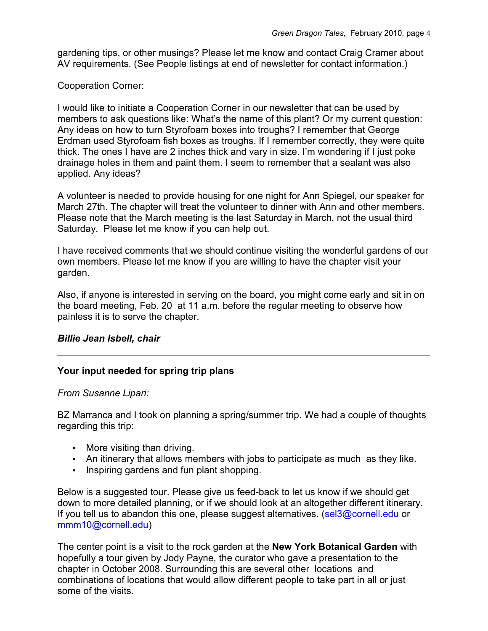gardening tips, or other musings? Please let me know and contact Craig Cramer about AV requirements. (See People listings at end of newsletter for contact information.)

# Cooperation Corner:

I would like to initiate a Cooperation Corner in our newsletter that can be used by members to ask questions like: What's the name of this plant? Or my current question: Any ideas on how to turn Styrofoam boxes into troughs? I remember that George Erdman used Styrofoam fish boxes as troughs. If I remember correctly, they were quite thick. The ones I have are 2 inches thick and vary in size. I'm wondering if I just poke drainage holes in them and paint them. I seem to remember that a sealant was also applied. Any ideas?

A volunteer is needed to provide housing for one night for Ann Spiegel, our speaker for March 27th. The chapter will treat the volunteer to dinner with Ann and other members. Please note that the March meeting is the last Saturday in March, not the usual third Saturday. Please let me know if you can help out.

I have received comments that we should continue visiting the wonderful gardens of our own members. Please let me know if you are willing to have the chapter visit your garden.

Also, if anyone is interested in serving on the board, you might come early and sit in on the board meeting, Feb. 20 at 11 a.m. before the regular meeting to observe how painless it is to serve the chapter.

# *Billie Jean Isbell, chair*

# **Your input needed for spring trip plans**

# *From Susanne Lipari:*

BZ Marranca and I took on planning a spring/summer trip. We had a couple of thoughts regarding this trip:

- More visiting than driving.
- An itinerary that allows members with jobs to participate as much as they like.
- Inspiring gardens and fun plant shopping.

Below is a suggested tour. Please give us feed-back to let us know if we should get down to more detailed planning, or if we should look at an altogether different itinerary. If you tell us to abandon this one, please suggest alternatives. [\(sel3@cornell.edu](mailto:sel3@cornell.edu) or [mmm10@cornell.edu\)](mailto:mmm10@cornell.edu)

The center point is a visit to the rock garden at the **New York Botanical Garden** with hopefully a tour given by Jody Payne, the curator who gave a presentation to the chapter in October 2008. Surrounding this are several other locations and combinations of locations that would allow different people to take part in all or just some of the visits.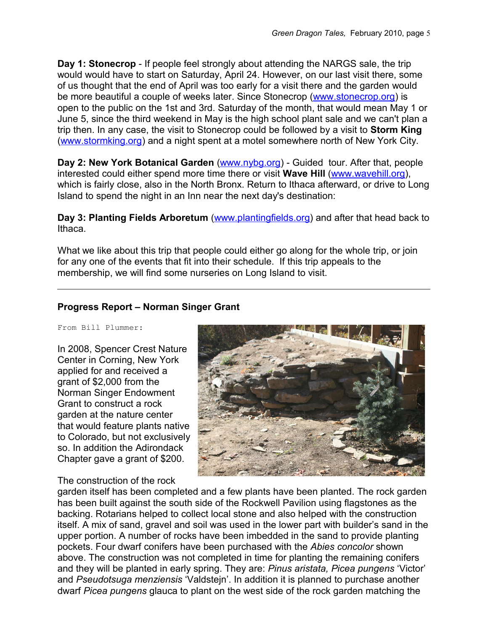**Day 1: Stonecrop** - If people feel strongly about attending the NARGS sale, the trip would would have to start on Saturday, April 24. However, on our last visit there, some of us thought that the end of April was too early for a visit there and the garden would be more beautiful a couple of weeks later. Since Stonecrop [\(www.stonecrop.org\)](http://www.stonecrop.org/) is open to the public on the 1st and 3rd. Saturday of the month, that would mean May 1 or June 5, since the third weekend in May is the high school plant sale and we can't plan a trip then. In any case, the visit to Stonecrop could be followed by a visit to **Storm King** [\(www.stormking.org\)](http://www.stormking.org/) and a night spent at a motel somewhere north of New York City.

**Day 2: New York Botanical Garden** [\(www.nybg.org\)](http://www.nybg.org/) - Guided tour. After that, people interested could either spend more time there or visit **Wave Hill** [\(www.wavehill.org\)](http://www.wavehill.org/), which is fairly close, also in the North Bronx. Return to Ithaca afterward, or drive to Long Island to spend the night in an Inn near the next day's destination:

**Day 3: Planting Fields Arboretum** [\(www.plantingfields.org\)](http://www.plantingfields.org/) and after that head back to Ithaca.

What we like about this trip that people could either go along for the whole trip, or join for any one of the events that fit into their schedule. If this trip appeals to the membership, we will find some nurseries on Long Island to visit.

# **Progress Report – Norman Singer Grant**

From Bill Plummer:

In 2008, Spencer Crest Nature Center in Corning, New York applied for and received a grant of \$2,000 from the Norman Singer Endowment Grant to construct a rock garden at the nature center that would feature plants native to Colorado, but not exclusively so. In addition the Adirondack Chapter gave a grant of \$200.



# The construction of the rock

garden itself has been completed and a few plants have been planted. The rock garden has been built against the south side of the Rockwell Pavilion using flagstones as the backing. Rotarians helped to collect local stone and also helped with the construction itself. A mix of sand, gravel and soil was used in the lower part with builder's sand in the upper portion. A number of rocks have been imbedded in the sand to provide planting pockets. Four dwarf conifers have been purchased with the *Abies concolor* shown above. The construction was not completed in time for planting the remaining conifers and they will be planted in early spring. They are: *Pinus aristata, Picea pungens* 'Victor' and *Pseudotsuga menziensis* 'Valdstejn'. In addition it is planned to purchase another dwarf *Picea pungens* glauca to plant on the west side of the rock garden matching the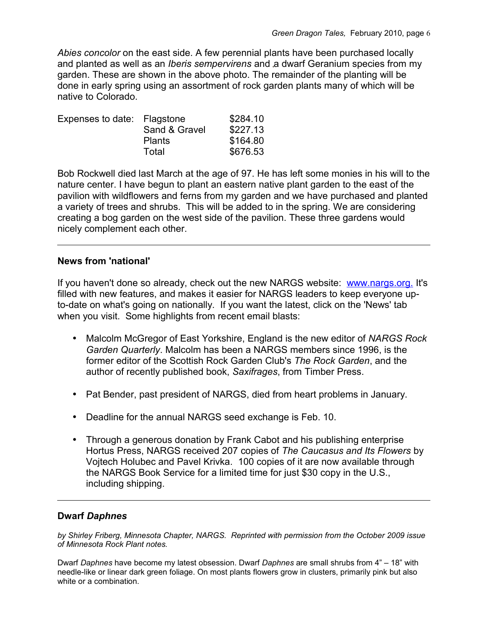*Abies concolor* on the east side. A few perennial plants have been purchased locally and planted as well as an *Iberis sempervirens* and a dwarf Geranium species from my garden. These are shown in the above photo. The remainder of the planting will be done in early spring using an assortment of rock garden plants many of which will be native to Colorado.

| Expenses to date: Flagstone | Sand & Gravel | \$284.10<br>\$227.13 |
|-----------------------------|---------------|----------------------|
|                             | <b>Plants</b> | \$164.80             |
|                             | Total         | \$676.53             |

Bob Rockwell died last March at the age of 97. He has left some monies in his will to the nature center. I have begun to plant an eastern native plant garden to the east of the pavilion with wildflowers and ferns from my garden and we have purchased and planted a variety of trees and shrubs. This will be added to in the spring. We are considering creating a bog garden on the west side of the pavilion. These three gardens would nicely complement each other.

# **News from 'national'**

If you haven't done so already, check out the new NARGS website: [www.nargs.org.](http://www.nargs.org/) It's filled with new features, and makes it easier for NARGS leaders to keep everyone upto-date on what's going on nationally. If you want the latest, click on the 'News' tab when you visit. Some highlights from recent email blasts:

- Malcolm McGregor of East Yorkshire, England is the new editor of *NARGS Rock Garden Quarterly*. Malcolm has been a NARGS members since 1996, is the former editor of the Scottish Rock Garden Club's *The Rock Garden*, and the author of recently published book, *Saxifrages*, from Timber Press.
- Pat Bender, past president of NARGS, died from heart problems in January.
- Deadline for the annual NARGS seed exchange is Feb. 10.
- Through a generous donation by Frank Cabot and his publishing enterprise Hortus Press, NARGS received 207 copies of *The Caucasus and Its Flowers* by Vojtech Holubec and Pavel Krivka. 100 copies of it are now available through the NARGS Book Service for a limited time for just \$30 copy in the U.S., including shipping.

# **Dwarf** *Daphnes*

*by Shirley Friberg, Minnesota Chapter, NARGS. Reprinted with permission from the October 2009 issue of Minnesota Rock Plant notes.*

Dwarf *Daphnes* have become my latest obsession. Dwarf *Daphnes* are small shrubs from 4" – 18" with needle-like or linear dark green foliage. On most plants flowers grow in clusters, primarily pink but also white or a combination.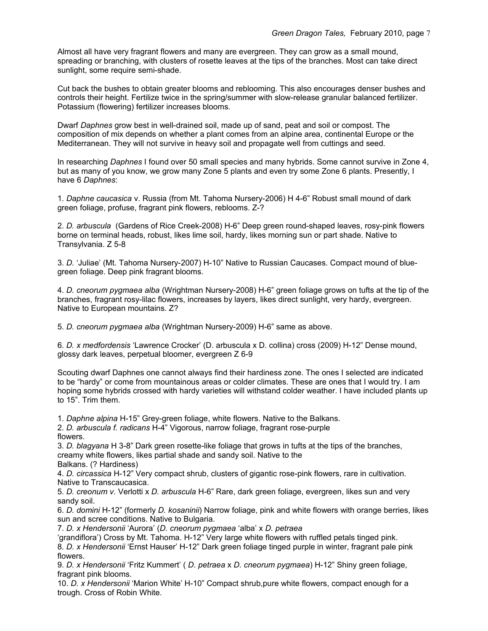Almost all have very fragrant flowers and many are evergreen. They can grow as a small mound, spreading or branching, with clusters of rosette leaves at the tips of the branches. Most can take direct sunlight, some require semi-shade.

Cut back the bushes to obtain greater blooms and reblooming. This also encourages denser bushes and controls their height. Fertilize twice in the spring/summer with slow-release granular balanced fertilizer. Potassium (flowering) fertilizer increases blooms.

Dwarf *Daphnes* grow best in well-drained soil, made up of sand, peat and soil or compost. The composition of mix depends on whether a plant comes from an alpine area, continental Europe or the Mediterranean. They will not survive in heavy soil and propagate well from cuttings and seed.

In researching *Daphnes* I found over 50 small species and many hybrids. Some cannot survive in Zone 4, but as many of you know, we grow many Zone 5 plants and even try some Zone 6 plants. Presently, I have 6 *Daphnes*:

1. *Daphne caucasica* v. Russia (from Mt. Tahoma Nursery-2006) H 4-6" Robust small mound of dark green foliage, profuse, fragrant pink flowers, reblooms. Z-?

2. *D. arbuscula* (Gardens of Rice Creek-2008) H-6" Deep green round-shaped leaves, rosy-pink flowers borne on terminal heads, robust, likes lime soil, hardy, likes morning sun or part shade. Native to Transylvania. Z 5-8

3. *D.* 'Juliae' (Mt. Tahoma Nursery-2007) H-10" Native to Russian Caucases. Compact mound of bluegreen foliage. Deep pink fragrant blooms.

4. *D. cneorum pygmaea alba* (Wrightman Nursery-2008) H-6" green foliage grows on tufts at the tip of the branches, fragrant rosy-lilac flowers, increases by layers, likes direct sunlight, very hardy, evergreen. Native to European mountains. Z?

5. *D. cneorum pygmaea alba* (Wrightman Nursery-2009) H-6" same as above.

6. *D. x medfordensis* 'Lawrence Crocker' (D. arbuscula x D. collina) cross (2009) H-12" Dense mound, glossy dark leaves, perpetual bloomer, evergreen Z 6-9

Scouting dwarf Daphnes one cannot always find their hardiness zone. The ones I selected are indicated to be "hardy" or come from mountainous areas or colder climates. These are ones that I would try. I am hoping some hybrids crossed with hardy varieties will withstand colder weather. I have included plants up to 15". Trim them.

1. *Daphne alpina* H-15" Grey-green foliage, white flowers. Native to the Balkans.

2. *D. arbuscula f. radicans* H-4" Vigorous, narrow foliage, fragrant rose-purple flowers.

3. *D. blagyana* H 3-8" Dark green rosette-like foliage that grows in tufts at the tips of the branches, creamy white flowers, likes partial shade and sandy soil. Native to the Balkans. (? Hardiness)

4. *D. circassica* H-12" Very compact shrub, clusters of gigantic rose-pink flowers, rare in cultivation. Native to Transcaucasica.

5. *D. creonum v.* Verlotti x *D. arbuscula* H-6" Rare, dark green foliage, evergreen, likes sun and very sandy soil.

6. *D. domini* H-12" (formerly *D. kosaninii*) Narrow foliage, pink and white flowers with orange berries, likes sun and scree conditions. Native to Bulgaria.

7. *D. x Hendersonii* 'Aurora' (*D. cneorum pygmaea* 'alba' x *D. petraea*

'grandiflora') Cross by Mt. Tahoma. H-12" Very large white flowers with ruffled petals tinged pink. 8. *D. x Hendersonii* 'Ernst Hauser' H-12" Dark green foliage tinged purple in winter, fragrant pale pink flowers.

9. *D. x Hendersonii* 'Fritz Kummert' ( *D. petraea* x *D. cneorum pygmaea*) H-12" Shiny green foliage, fragrant pink blooms.

10. *D. x Hendersonii* 'Marion White' H-10" Compact shrub,pure white flowers, compact enough for a trough. Cross of Robin White.